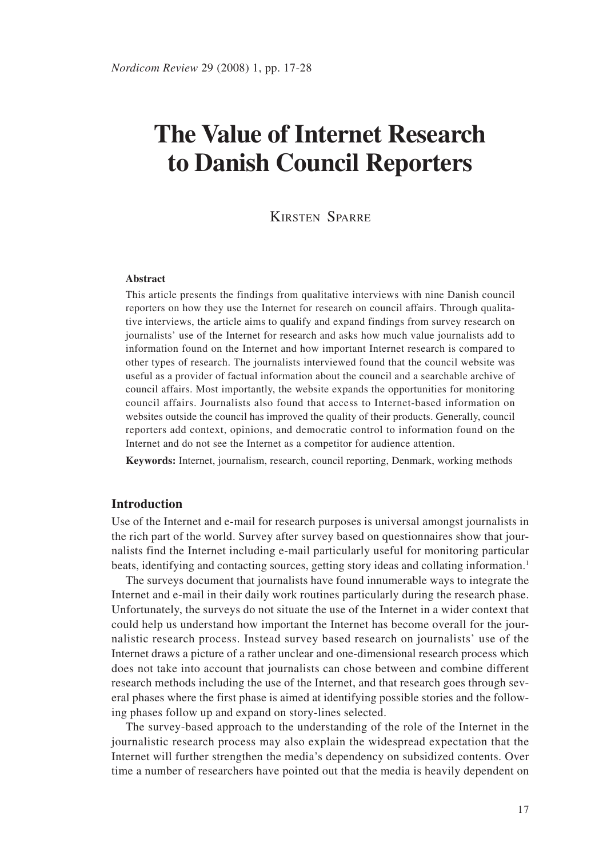# **The Value of Internet Research to Danish Council Reporters**

## KIRSTEN SPARRE

#### **Abstract**

This article presents the findings from qualitative interviews with nine Danish council reporters on how they use the Internet for research on council affairs. Through qualitative interviews, the article aims to qualify and expand findings from survey research on journalists' use of the Internet for research and asks how much value journalists add to information found on the Internet and how important Internet research is compared to other types of research. The journalists interviewed found that the council website was useful as a provider of factual information about the council and a searchable archive of council affairs. Most importantly, the website expands the opportunities for monitoring council affairs. Journalists also found that access to Internet-based information on websites outside the council has improved the quality of their products. Generally, council reporters add context, opinions, and democratic control to information found on the Internet and do not see the Internet as a competitor for audience attention.

**Keywords:** Internet, journalism, research, council reporting, Denmark, working methods

#### **Introduction**

Use of the Internet and e-mail for research purposes is universal amongst journalists in the rich part of the world. Survey after survey based on questionnaires show that journalists find the Internet including e-mail particularly useful for monitoring particular beats, identifying and contacting sources, getting story ideas and collating information.1

The surveys document that journalists have found innumerable ways to integrate the Internet and e-mail in their daily work routines particularly during the research phase. Unfortunately, the surveys do not situate the use of the Internet in a wider context that could help us understand how important the Internet has become overall for the journalistic research process. Instead survey based research on journalists' use of the Internet draws a picture of a rather unclear and one-dimensional research process which does not take into account that journalists can chose between and combine different research methods including the use of the Internet, and that research goes through several phases where the first phase is aimed at identifying possible stories and the following phases follow up and expand on story-lines selected.

The survey-based approach to the understanding of the role of the Internet in the journalistic research process may also explain the widespread expectation that the Internet will further strengthen the media's dependency on subsidized contents. Over time a number of researchers have pointed out that the media is heavily dependent on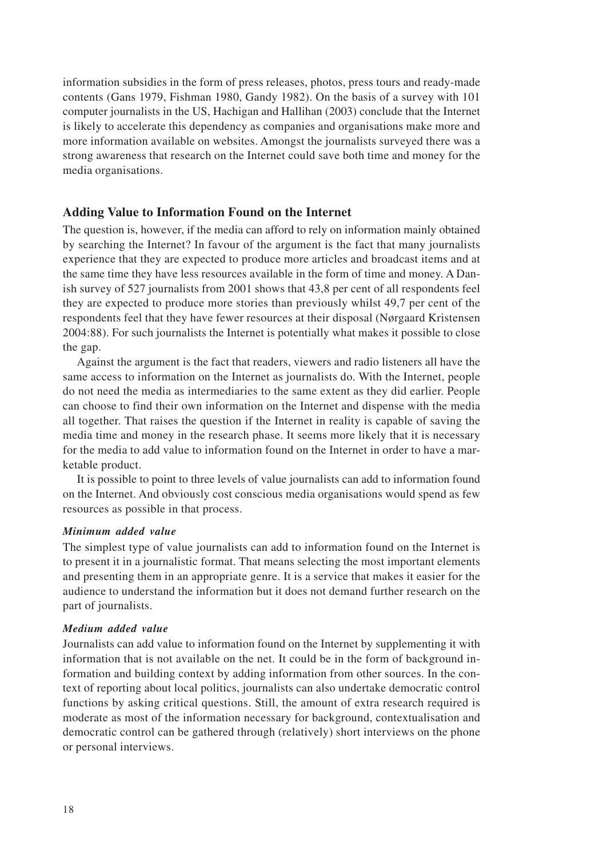information subsidies in the form of press releases, photos, press tours and ready-made contents (Gans 1979, Fishman 1980, Gandy 1982). On the basis of a survey with 101 computer journalists in the US, Hachigan and Hallihan (2003) conclude that the Internet is likely to accelerate this dependency as companies and organisations make more and more information available on websites. Amongst the journalists surveyed there was a strong awareness that research on the Internet could save both time and money for the media organisations.

## **Adding Value to Information Found on the Internet**

The question is, however, if the media can afford to rely on information mainly obtained by searching the Internet? In favour of the argument is the fact that many journalists experience that they are expected to produce more articles and broadcast items and at the same time they have less resources available in the form of time and money. A Danish survey of 527 journalists from 2001 shows that 43,8 per cent of all respondents feel they are expected to produce more stories than previously whilst 49,7 per cent of the respondents feel that they have fewer resources at their disposal (Nørgaard Kristensen 2004:88). For such journalists the Internet is potentially what makes it possible to close the gap.

Against the argument is the fact that readers, viewers and radio listeners all have the same access to information on the Internet as journalists do. With the Internet, people do not need the media as intermediaries to the same extent as they did earlier. People can choose to find their own information on the Internet and dispense with the media all together. That raises the question if the Internet in reality is capable of saving the media time and money in the research phase. It seems more likely that it is necessary for the media to add value to information found on the Internet in order to have a marketable product.

It is possible to point to three levels of value journalists can add to information found on the Internet. And obviously cost conscious media organisations would spend as few resources as possible in that process.

#### *Minimum added value*

The simplest type of value journalists can add to information found on the Internet is to present it in a journalistic format. That means selecting the most important elements and presenting them in an appropriate genre. It is a service that makes it easier for the audience to understand the information but it does not demand further research on the part of journalists.

#### *Medium added value*

Journalists can add value to information found on the Internet by supplementing it with information that is not available on the net. It could be in the form of background information and building context by adding information from other sources. In the context of reporting about local politics, journalists can also undertake democratic control functions by asking critical questions. Still, the amount of extra research required is moderate as most of the information necessary for background, contextualisation and democratic control can be gathered through (relatively) short interviews on the phone or personal interviews.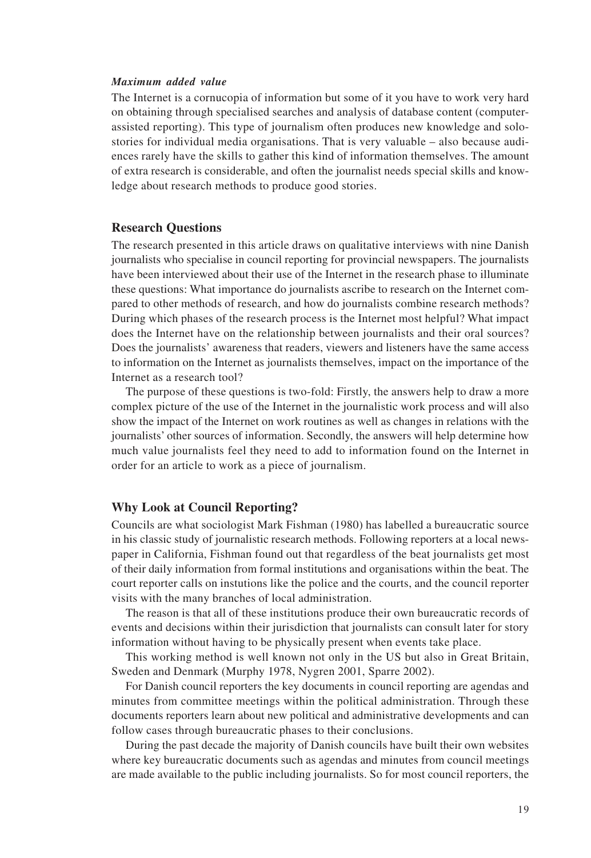#### *Maximum added value*

The Internet is a cornucopia of information but some of it you have to work very hard on obtaining through specialised searches and analysis of database content (computerassisted reporting). This type of journalism often produces new knowledge and solostories for individual media organisations. That is very valuable – also because audiences rarely have the skills to gather this kind of information themselves. The amount of extra research is considerable, and often the journalist needs special skills and knowledge about research methods to produce good stories.

#### **Research Questions**

The research presented in this article draws on qualitative interviews with nine Danish journalists who specialise in council reporting for provincial newspapers. The journalists have been interviewed about their use of the Internet in the research phase to illuminate these questions: What importance do journalists ascribe to research on the Internet compared to other methods of research, and how do journalists combine research methods? During which phases of the research process is the Internet most helpful? What impact does the Internet have on the relationship between journalists and their oral sources? Does the journalists' awareness that readers, viewers and listeners have the same access to information on the Internet as journalists themselves, impact on the importance of the Internet as a research tool?

The purpose of these questions is two-fold: Firstly, the answers help to draw a more complex picture of the use of the Internet in the journalistic work process and will also show the impact of the Internet on work routines as well as changes in relations with the journalists' other sources of information. Secondly, the answers will help determine how much value journalists feel they need to add to information found on the Internet in order for an article to work as a piece of journalism.

#### **Why Look at Council Reporting?**

Councils are what sociologist Mark Fishman (1980) has labelled a bureaucratic source in his classic study of journalistic research methods. Following reporters at a local newspaper in California, Fishman found out that regardless of the beat journalists get most of their daily information from formal institutions and organisations within the beat. The court reporter calls on instutions like the police and the courts, and the council reporter visits with the many branches of local administration.

The reason is that all of these institutions produce their own bureaucratic records of events and decisions within their jurisdiction that journalists can consult later for story information without having to be physically present when events take place.

This working method is well known not only in the US but also in Great Britain, Sweden and Denmark (Murphy 1978, Nygren 2001, Sparre 2002).

For Danish council reporters the key documents in council reporting are agendas and minutes from committee meetings within the political administration. Through these documents reporters learn about new political and administrative developments and can follow cases through bureaucratic phases to their conclusions.

During the past decade the majority of Danish councils have built their own websites where key bureaucratic documents such as agendas and minutes from council meetings are made available to the public including journalists. So for most council reporters, the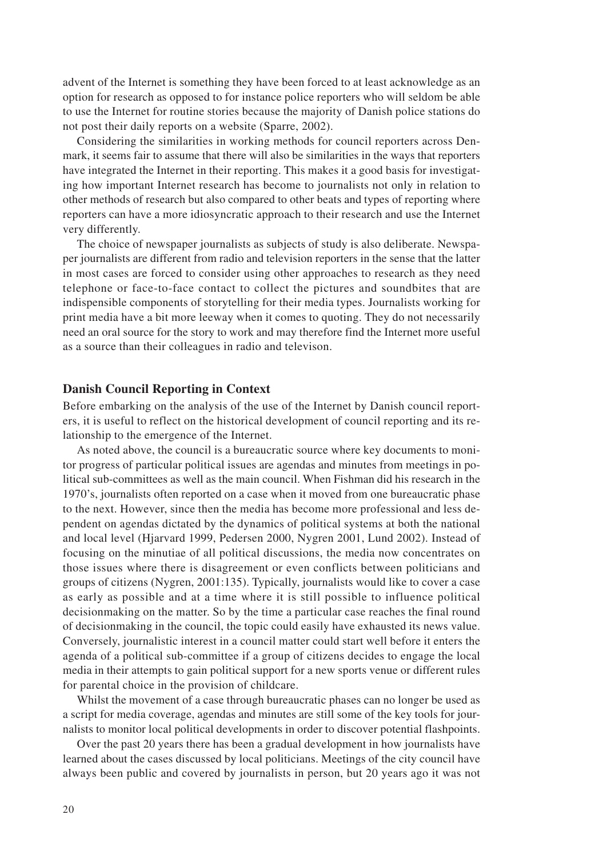advent of the Internet is something they have been forced to at least acknowledge as an option for research as opposed to for instance police reporters who will seldom be able to use the Internet for routine stories because the majority of Danish police stations do not post their daily reports on a website (Sparre, 2002).

Considering the similarities in working methods for council reporters across Denmark, it seems fair to assume that there will also be similarities in the ways that reporters have integrated the Internet in their reporting. This makes it a good basis for investigating how important Internet research has become to journalists not only in relation to other methods of research but also compared to other beats and types of reporting where reporters can have a more idiosyncratic approach to their research and use the Internet very differently.

The choice of newspaper journalists as subjects of study is also deliberate. Newspaper journalists are different from radio and television reporters in the sense that the latter in most cases are forced to consider using other approaches to research as they need telephone or face-to-face contact to collect the pictures and soundbites that are indispensible components of storytelling for their media types. Journalists working for print media have a bit more leeway when it comes to quoting. They do not necessarily need an oral source for the story to work and may therefore find the Internet more useful as a source than their colleagues in radio and televison.

## **Danish Council Reporting in Context**

Before embarking on the analysis of the use of the Internet by Danish council reporters, it is useful to reflect on the historical development of council reporting and its relationship to the emergence of the Internet.

As noted above, the council is a bureaucratic source where key documents to monitor progress of particular political issues are agendas and minutes from meetings in political sub-committees as well as the main council. When Fishman did his research in the 1970's, journalists often reported on a case when it moved from one bureaucratic phase to the next. However, since then the media has become more professional and less dependent on agendas dictated by the dynamics of political systems at both the national and local level (Hjarvard 1999, Pedersen 2000, Nygren 2001, Lund 2002). Instead of focusing on the minutiae of all political discussions, the media now concentrates on those issues where there is disagreement or even conflicts between politicians and groups of citizens (Nygren, 2001:135). Typically, journalists would like to cover a case as early as possible and at a time where it is still possible to influence political decisionmaking on the matter. So by the time a particular case reaches the final round of decisionmaking in the council, the topic could easily have exhausted its news value. Conversely, journalistic interest in a council matter could start well before it enters the agenda of a political sub-committee if a group of citizens decides to engage the local media in their attempts to gain political support for a new sports venue or different rules for parental choice in the provision of childcare.

Whilst the movement of a case through bureaucratic phases can no longer be used as a script for media coverage, agendas and minutes are still some of the key tools for journalists to monitor local political developments in order to discover potential flashpoints.

Over the past 20 years there has been a gradual development in how journalists have learned about the cases discussed by local politicians. Meetings of the city council have always been public and covered by journalists in person, but 20 years ago it was not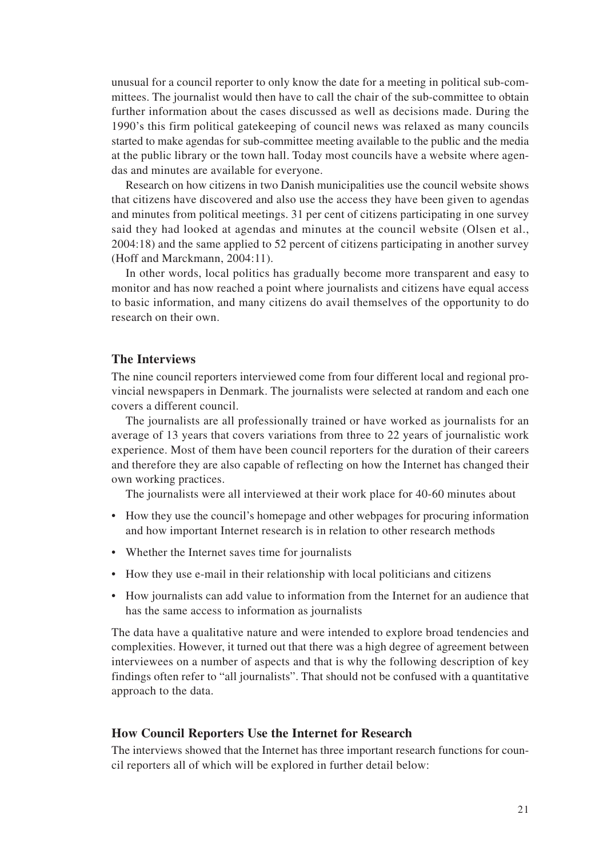unusual for a council reporter to only know the date for a meeting in political sub-committees. The journalist would then have to call the chair of the sub-committee to obtain further information about the cases discussed as well as decisions made. During the 1990's this firm political gatekeeping of council news was relaxed as many councils started to make agendas for sub-committee meeting available to the public and the media at the public library or the town hall. Today most councils have a website where agendas and minutes are available for everyone.

Research on how citizens in two Danish municipalities use the council website shows that citizens have discovered and also use the access they have been given to agendas and minutes from political meetings. 31 per cent of citizens participating in one survey said they had looked at agendas and minutes at the council website (Olsen et al., 2004:18) and the same applied to 52 percent of citizens participating in another survey (Hoff and Marckmann, 2004:11).

In other words, local politics has gradually become more transparent and easy to monitor and has now reached a point where journalists and citizens have equal access to basic information, and many citizens do avail themselves of the opportunity to do research on their own.

## **The Interviews**

The nine council reporters interviewed come from four different local and regional provincial newspapers in Denmark. The journalists were selected at random and each one covers a different council.

The journalists are all professionally trained or have worked as journalists for an average of 13 years that covers variations from three to 22 years of journalistic work experience. Most of them have been council reporters for the duration of their careers and therefore they are also capable of reflecting on how the Internet has changed their own working practices.

The journalists were all interviewed at their work place for 40-60 minutes about

- How they use the council's homepage and other webpages for procuring information and how important Internet research is in relation to other research methods
- Whether the Internet saves time for journalists
- How they use e-mail in their relationship with local politicians and citizens
- How journalists can add value to information from the Internet for an audience that has the same access to information as journalists

The data have a qualitative nature and were intended to explore broad tendencies and complexities. However, it turned out that there was a high degree of agreement between interviewees on a number of aspects and that is why the following description of key findings often refer to "all journalists". That should not be confused with a quantitative approach to the data.

#### **How Council Reporters Use the Internet for Research**

The interviews showed that the Internet has three important research functions for council reporters all of which will be explored in further detail below: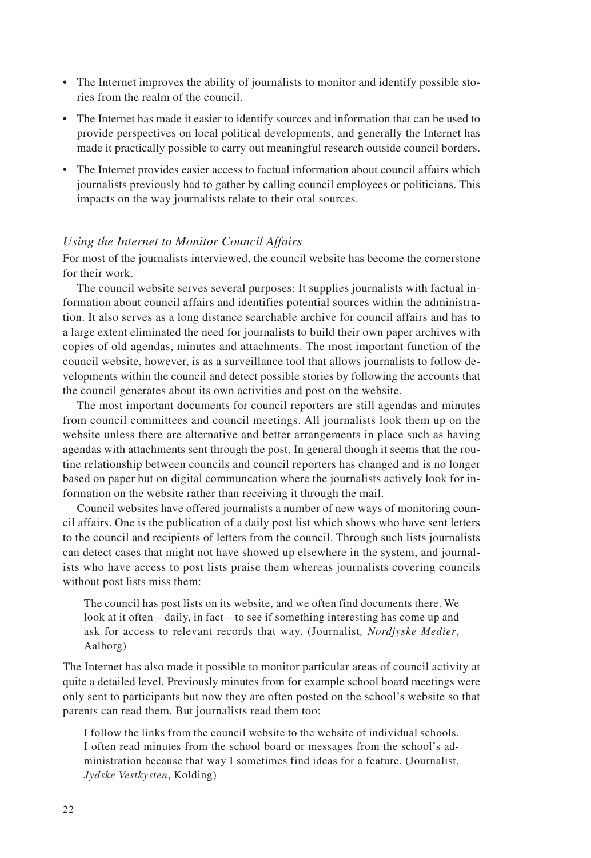- The Internet improves the ability of journalists to monitor and identify possible stories from the realm of the council.
- The Internet has made it easier to identify sources and information that can be used to provide perspectives on local political developments, and generally the Internet has made it practically possible to carry out meaningful research outside council borders.
- The Internet provides easier access to factual information about council affairs which journalists previously had to gather by calling council employees or politicians. This impacts on the way journalists relate to their oral sources.

#### *Using the Internet to Monitor Council Affairs*

For most of the journalists interviewed, the council website has become the cornerstone for their work.

The council website serves several purposes: It supplies journalists with factual information about council affairs and identifies potential sources within the administration. It also serves as a long distance searchable archive for council affairs and has to a large extent eliminated the need for journalists to build their own paper archives with copies of old agendas, minutes and attachments. The most important function of the council website, however, is as a surveillance tool that allows journalists to follow developments within the council and detect possible stories by following the accounts that the council generates about its own activities and post on the website.

The most important documents for council reporters are still agendas and minutes from council committees and council meetings. All journalists look them up on the website unless there are alternative and better arrangements in place such as having agendas with attachments sent through the post. In general though it seems that the routine relationship between councils and council reporters has changed and is no longer based on paper but on digital communcation where the journalists actively look for information on the website rather than receiving it through the mail.

Council websites have offered journalists a number of new ways of monitoring council affairs. One is the publication of a daily post list which shows who have sent letters to the council and recipients of letters from the council. Through such lists journalists can detect cases that might not have showed up elsewhere in the system, and journalists who have access to post lists praise them whereas journalists covering councils without post lists miss them:

The council has post lists on its website, and we often find documents there. We look at it often – daily, in fact – to see if something interesting has come up and ask for access to relevant records that way. (Journalist*, Nordjyske Medier*, Aalborg)

The Internet has also made it possible to monitor particular areas of council activity at quite a detailed level. Previously minutes from for example school board meetings were only sent to participants but now they are often posted on the school's website so that parents can read them. But journalists read them too:

I follow the links from the council website to the website of individual schools. I often read minutes from the school board or messages from the school's administration because that way I sometimes find ideas for a feature. (Journalist, *Jydske Vestkysten*, Kolding)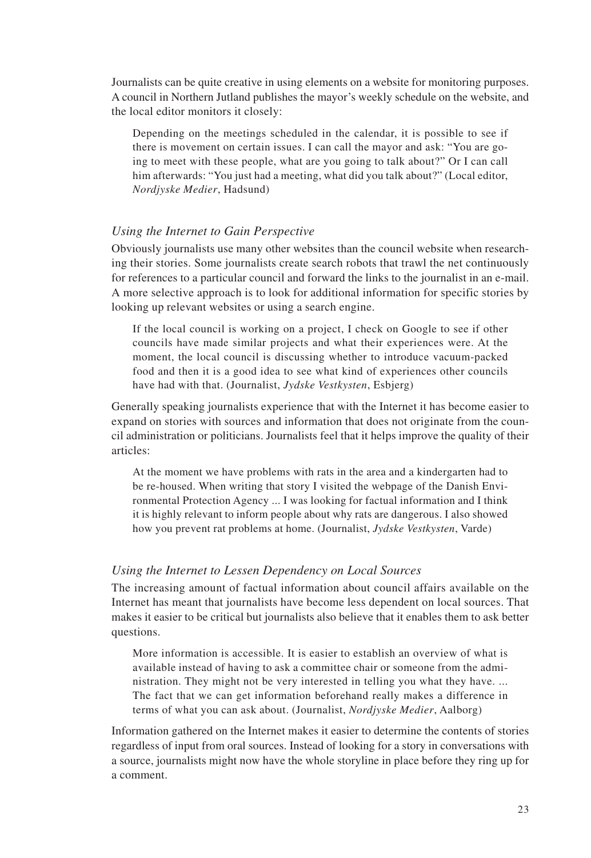Journalists can be quite creative in using elements on a website for monitoring purposes. A council in Northern Jutland publishes the mayor's weekly schedule on the website, and the local editor monitors it closely:

Depending on the meetings scheduled in the calendar, it is possible to see if there is movement on certain issues. I can call the mayor and ask: "You are going to meet with these people, what are you going to talk about?" Or I can call him afterwards: "You just had a meeting, what did you talk about?" (Local editor, *Nordjyske Medier*, Hadsund)

## *Using the Internet to Gain Perspective*

Obviously journalists use many other websites than the council website when researching their stories. Some journalists create search robots that trawl the net continuously for references to a particular council and forward the links to the journalist in an e-mail. A more selective approach is to look for additional information for specific stories by looking up relevant websites or using a search engine.

If the local council is working on a project, I check on Google to see if other councils have made similar projects and what their experiences were. At the moment, the local council is discussing whether to introduce vacuum-packed food and then it is a good idea to see what kind of experiences other councils have had with that. (Journalist, *Jydske Vestkysten*, Esbjerg)

Generally speaking journalists experience that with the Internet it has become easier to expand on stories with sources and information that does not originate from the council administration or politicians. Journalists feel that it helps improve the quality of their articles:

At the moment we have problems with rats in the area and a kindergarten had to be re-housed. When writing that story I visited the webpage of the Danish Environmental Protection Agency ... I was looking for factual information and I think it is highly relevant to inform people about why rats are dangerous. I also showed how you prevent rat problems at home. (Journalist, *Jydske Vestkysten*, Varde)

## *Using the Internet to Lessen Dependency on Local Sources*

The increasing amount of factual information about council affairs available on the Internet has meant that journalists have become less dependent on local sources. That makes it easier to be critical but journalists also believe that it enables them to ask better questions.

More information is accessible. It is easier to establish an overview of what is available instead of having to ask a committee chair or someone from the administration. They might not be very interested in telling you what they have. ... The fact that we can get information beforehand really makes a difference in terms of what you can ask about. (Journalist, *Nordjyske Medier*, Aalborg)

Information gathered on the Internet makes it easier to determine the contents of stories regardless of input from oral sources. Instead of looking for a story in conversations with a source, journalists might now have the whole storyline in place before they ring up for a comment.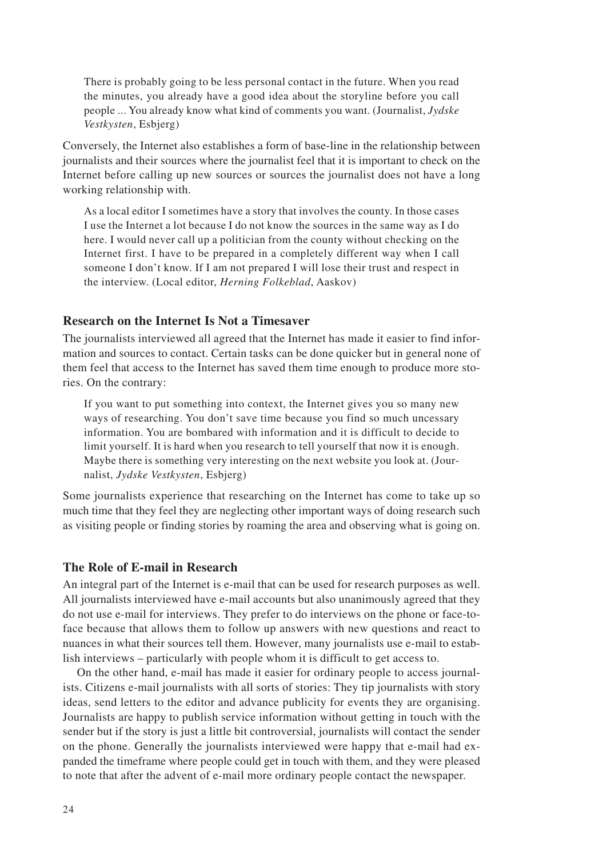There is probably going to be less personal contact in the future. When you read the minutes, you already have a good idea about the storyline before you call people ... You already know what kind of comments you want. (Journalist, *Jydske Vestkysten*, Esbjerg)

Conversely, the Internet also establishes a form of base-line in the relationship between journalists and their sources where the journalist feel that it is important to check on the Internet before calling up new sources or sources the journalist does not have a long working relationship with.

As a local editor I sometimes have a story that involves the county. In those cases I use the Internet a lot because I do not know the sources in the same way as I do here. I would never call up a politician from the county without checking on the Internet first. I have to be prepared in a completely different way when I call someone I don't know. If I am not prepared I will lose their trust and respect in the interview. (Local editor, *Herning Folkeblad*, Aaskov)

## **Research on the Internet Is Not a Timesaver**

The journalists interviewed all agreed that the Internet has made it easier to find information and sources to contact. Certain tasks can be done quicker but in general none of them feel that access to the Internet has saved them time enough to produce more stories. On the contrary:

If you want to put something into context, the Internet gives you so many new ways of researching. You don't save time because you find so much uncessary information. You are bombared with information and it is difficult to decide to limit yourself. It is hard when you research to tell yourself that now it is enough. Maybe there is something very interesting on the next website you look at. (Journalist, *Jydske Vestkysten*, Esbjerg)

Some journalists experience that researching on the Internet has come to take up so much time that they feel they are neglecting other important ways of doing research such as visiting people or finding stories by roaming the area and observing what is going on.

## **The Role of E-mail in Research**

An integral part of the Internet is e-mail that can be used for research purposes as well. All journalists interviewed have e-mail accounts but also unanimously agreed that they do not use e-mail for interviews. They prefer to do interviews on the phone or face-toface because that allows them to follow up answers with new questions and react to nuances in what their sources tell them. However, many journalists use e-mail to establish interviews – particularly with people whom it is difficult to get access to.

On the other hand, e-mail has made it easier for ordinary people to access journalists. Citizens e-mail journalists with all sorts of stories: They tip journalists with story ideas, send letters to the editor and advance publicity for events they are organising. Journalists are happy to publish service information without getting in touch with the sender but if the story is just a little bit controversial, journalists will contact the sender on the phone. Generally the journalists interviewed were happy that e-mail had expanded the timeframe where people could get in touch with them, and they were pleased to note that after the advent of e-mail more ordinary people contact the newspaper.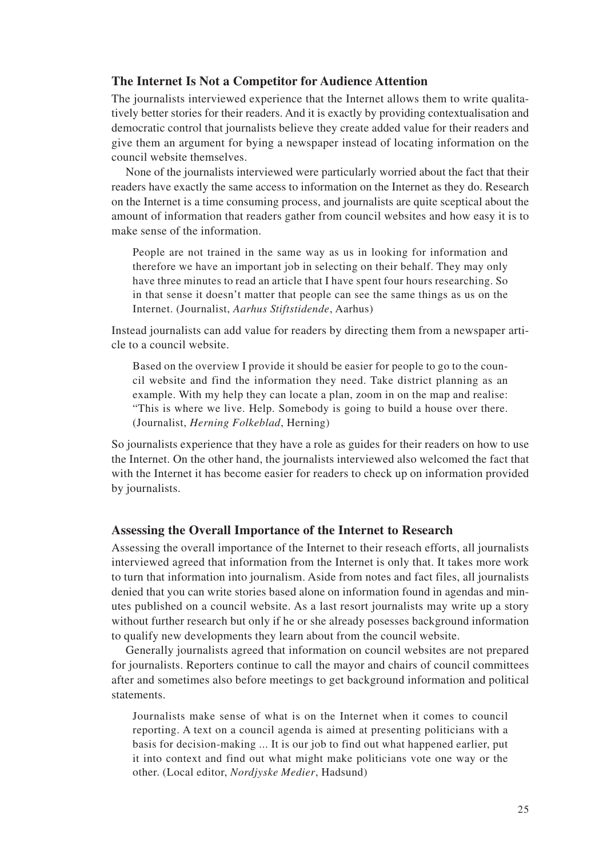## **The Internet Is Not a Competitor for Audience Attention**

The journalists interviewed experience that the Internet allows them to write qualitatively better stories for their readers. And it is exactly by providing contextualisation and democratic control that journalists believe they create added value for their readers and give them an argument for bying a newspaper instead of locating information on the council website themselves.

None of the journalists interviewed were particularly worried about the fact that their readers have exactly the same access to information on the Internet as they do. Research on the Internet is a time consuming process, and journalists are quite sceptical about the amount of information that readers gather from council websites and how easy it is to make sense of the information.

People are not trained in the same way as us in looking for information and therefore we have an important job in selecting on their behalf. They may only have three minutes to read an article that I have spent four hours researching. So in that sense it doesn't matter that people can see the same things as us on the Internet. (Journalist, *Aarhus Stiftstidende*, Aarhus)

Instead journalists can add value for readers by directing them from a newspaper article to a council website.

Based on the overview I provide it should be easier for people to go to the council website and find the information they need. Take district planning as an example. With my help they can locate a plan, zoom in on the map and realise: "This is where we live. Help. Somebody is going to build a house over there. (Journalist, *Herning Folkeblad*, Herning)

So journalists experience that they have a role as guides for their readers on how to use the Internet. On the other hand, the journalists interviewed also welcomed the fact that with the Internet it has become easier for readers to check up on information provided by journalists.

## **Assessing the Overall Importance of the Internet to Research**

Assessing the overall importance of the Internet to their reseach efforts, all journalists interviewed agreed that information from the Internet is only that. It takes more work to turn that information into journalism. Aside from notes and fact files, all journalists denied that you can write stories based alone on information found in agendas and minutes published on a council website. As a last resort journalists may write up a story without further research but only if he or she already posesses background information to qualify new developments they learn about from the council website.

Generally journalists agreed that information on council websites are not prepared for journalists. Reporters continue to call the mayor and chairs of council committees after and sometimes also before meetings to get background information and political statements.

Journalists make sense of what is on the Internet when it comes to council reporting. A text on a council agenda is aimed at presenting politicians with a basis for decision-making ... It is our job to find out what happened earlier, put it into context and find out what might make politicians vote one way or the other. (Local editor, *Nordjyske Medier*, Hadsund)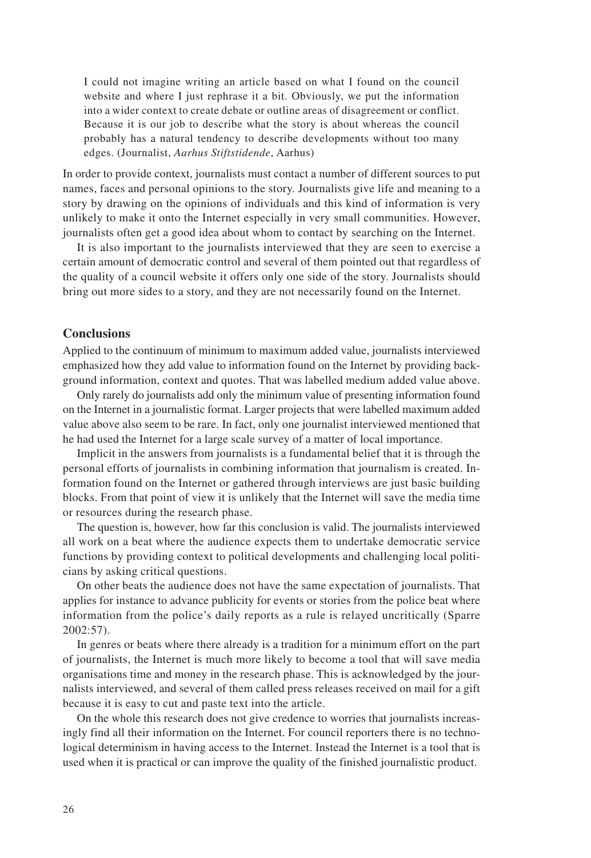I could not imagine writing an article based on what I found on the council website and where I just rephrase it a bit. Obviously, we put the information into a wider context to create debate or outline areas of disagreement or conflict. Because it is our job to describe what the story is about whereas the council probably has a natural tendency to describe developments without too many edges. (Journalist, *Aarhus Stiftstidende*, Aarhus)

In order to provide context, journalists must contact a number of different sources to put names, faces and personal opinions to the story. Journalists give life and meaning to a story by drawing on the opinions of individuals and this kind of information is very unlikely to make it onto the Internet especially in very small communities. However, journalists often get a good idea about whom to contact by searching on the Internet.

It is also important to the journalists interviewed that they are seen to exercise a certain amount of democratic control and several of them pointed out that regardless of the quality of a council website it offers only one side of the story. Journalists should bring out more sides to a story, and they are not necessarily found on the Internet.

## **Conclusions**

Applied to the continuum of minimum to maximum added value, journalists interviewed emphasized how they add value to information found on the Internet by providing background information, context and quotes. That was labelled medium added value above.

Only rarely do journalists add only the minimum value of presenting information found on the Internet in a journalistic format. Larger projects that were labelled maximum added value above also seem to be rare. In fact, only one journalist interviewed mentioned that he had used the Internet for a large scale survey of a matter of local importance.

Implicit in the answers from journalists is a fundamental belief that it is through the personal efforts of journalists in combining information that journalism is created. Information found on the Internet or gathered through interviews are just basic building blocks. From that point of view it is unlikely that the Internet will save the media time or resources during the research phase.

The question is, however, how far this conclusion is valid. The journalists interviewed all work on a beat where the audience expects them to undertake democratic service functions by providing context to political developments and challenging local politicians by asking critical questions.

On other beats the audience does not have the same expectation of journalists. That applies for instance to advance publicity for events or stories from the police beat where information from the police's daily reports as a rule is relayed uncritically (Sparre 2002:57).

In genres or beats where there already is a tradition for a minimum effort on the part of journalists, the Internet is much more likely to become a tool that will save media organisations time and money in the research phase. This is acknowledged by the journalists interviewed, and several of them called press releases received on mail for a gift because it is easy to cut and paste text into the article.

On the whole this research does not give credence to worries that journalists increasingly find all their information on the Internet. For council reporters there is no technological determinism in having access to the Internet. Instead the Internet is a tool that is used when it is practical or can improve the quality of the finished journalistic product.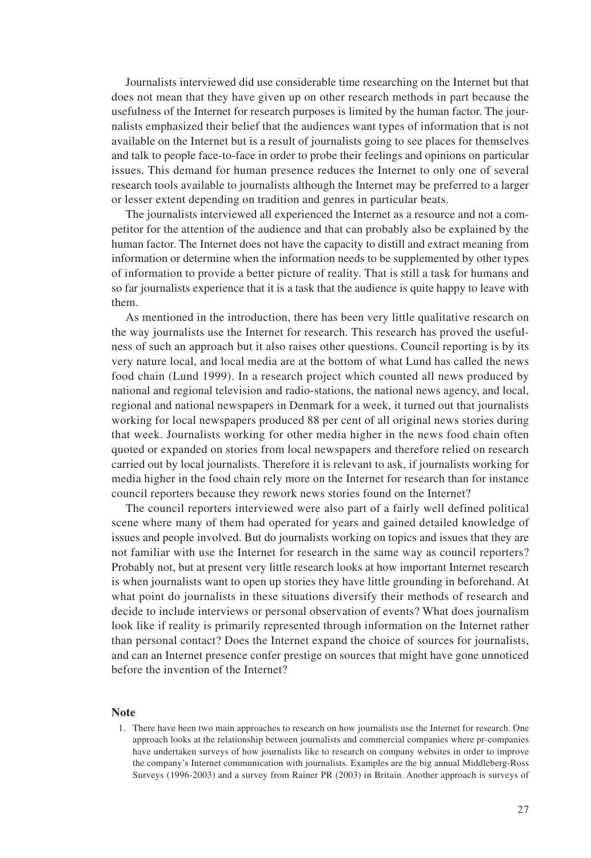Journalists interviewed did use considerable time researching on the Internet but that does not mean that they have given up on other research methods in part because the usefulness of the Internet for research purposes is limited by the human factor. The journalists emphasized their belief that the audiences want types of information that is not available on the Internet but is a result of journalists going to see places for themselves and talk to people face-to-face in order to probe their feelings and opinions on particular issues. This demand for human presence reduces the Internet to only one of several research tools available to journalists although the Internet may be preferred to a larger or lesser extent depending on tradition and genres in particular beats.

The journalists interviewed all experienced the Internet as a resource and not a competitor for the attention of the audience and that can probably also be explained by the human factor. The Internet does not have the capacity to distill and extract meaning from information or determine when the information needs to be supplemented by other types of information to provide a better picture of reality. That is still a task for humans and so far journalists experience that it is a task that the audience is quite happy to leave with them.

As mentioned in the introduction, there has been very little qualitative research on the way journalists use the Internet for research. This research has proved the usefulness of such an approach but it also raises other questions. Council reporting is by its very nature local, and local media are at the bottom of what Lund has called the news food chain (Lund 1999). In a research project which counted all news produced by national and regional television and radio-stations, the national news agency, and local, regional and national newspapers in Denmark for a week, it turned out that journalists working for local newspapers produced 88 per cent of all original news stories during that week. Journalists working for other media higher in the news food chain often quoted or expanded on stories from local newspapers and therefore relied on research carried out by local journalists. Therefore it is relevant to ask, if journalists working for media higher in the food chain rely more on the Internet for research than for instance council reporters because they rework news stories found on the Internet?

The council reporters interviewed were also part of a fairly well defined political scene where many of them had operated for years and gained detailed knowledge of issues and people involved. But do journalists working on topics and issues that they are not familiar with use the Internet for research in the same way as council reporters? Probably not, but at present very little research looks at how important Internet research is when journalists want to open up stories they have little grounding in beforehand. At what point do journalists in these situations diversify their methods of research and decide to include interviews or personal observation of events? What does journalism look like if reality is primarily represented through information on the Internet rather than personal contact? Does the Internet expand the choice of sources for journalists, and can an Internet presence confer prestige on sources that might have gone unnoticed before the invention of the Internet?

#### **Note**

1. There have been two main approaches to research on how journalists use the Internet for research. One approach looks at the relationship between journalists and commercial companies where pr-companies have undertaken surveys of how journalists like to research on company websites in order to improve the company's Internet communication with journalists. Examples are the big annual Middleberg-Ross Surveys (1996-2003) and a survey from Rainer PR (2003) in Britain. Another approach is surveys of